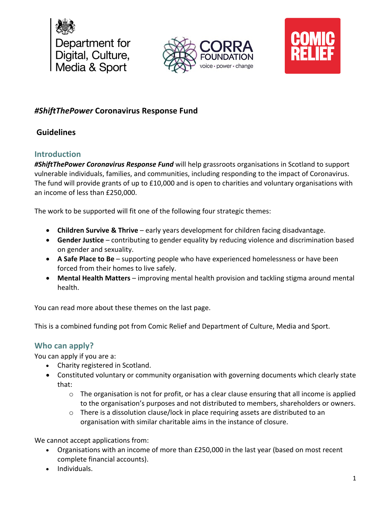





# *#ShiftThePower* **Coronavirus Response Fund**

## **Guidelines**

## **Introduction**

*#ShiftThePower Coronavirus Response Fund* will help grassroots organisations in Scotland to support vulnerable individuals, families, and communities, including responding to the impact of Coronavirus. The fund will provide grants of up to £10,000 and is open to charities and voluntary organisations with an income of less than £250,000.

The work to be supported will fit one of the following four strategic themes:

- **Children Survive & Thrive** early years development for children facing disadvantage.
- **Gender Justice** contributing to gender equality by reducing violence and discrimination based on gender and sexuality.
- **A Safe Place to Be** supporting people who have experienced homelessness or have been forced from their homes to live safely.
- **Mental Health Matters** improving mental health provision and tackling stigma around mental health.

You can read more about these themes on the last page.

This is a combined funding pot from Comic Relief and Department of Culture, Media and Sport.

## **Who can apply?**

You can apply if you are a:

- Charity registered in Scotland.
- Constituted voluntary or community organisation with governing documents which clearly state that:
	- $\circ$  The organisation is not for profit, or has a clear clause ensuring that all income is applied to the organisation's purposes and not distributed to members, shareholders or owners.
	- $\circ$  There is a dissolution clause/lock in place requiring assets are distributed to an organisation with similar charitable aims in the instance of closure.

We cannot accept applications from:

- Organisations with an income of more than £250,000 in the last year (based on most recent complete financial accounts).
- Individuals.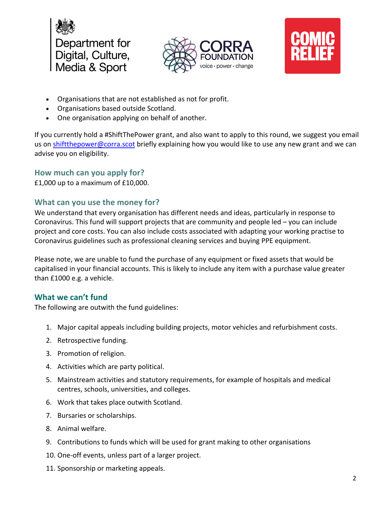





- Organisations that are not established as not for profit.
- Organisations based outside Scotland.
- One organisation applying on behalf of another.

If you currently hold a #ShiftThePower grant, and also want to apply to this round, we suggest you email us on shiftthepower@corra.scot briefly explaining how you would like to use any new grant and we can advise you on eligibility.

#### **How much can you apply for?**

£1,000 up to a maximum of £10,000.

#### **What can you use the money for?**

We understand that every organisation has different needs and ideas, particularly in response to Coronavirus. This fund will support projects that are community and people led – you can include project and core costs. You can also include costs associated with adapting your working practise to Coronavirus guidelines such as professional cleaning services and buying PPE equipment.

Please note, we are unable to fund the purchase of any equipment or fixed assets that would be capitalised in your financial accounts. This is likely to include any item with a purchase value greater than £1000 e.g. a vehicle.

## **What we can't fund**

The following are outwith the fund guidelines:

- 1. Major capital appeals including building projects, motor vehicles and refurbishment costs.
- 2. Retrospective funding.
- 3. Promotion of religion.
- 4. Activities which are party political.
- 5. Mainstream activities and statutory requirements, for example of hospitals and medical centres, schools, universities, and colleges.
- 6. Work that takes place outwith Scotland.
- 7. Bursaries or scholarships.
- 8. Animal welfare.
- 9. Contributions to funds which will be used for grant making to other organisations
- 10. One-off events, unless part of a larger project.
- 11. Sponsorship or marketing appeals.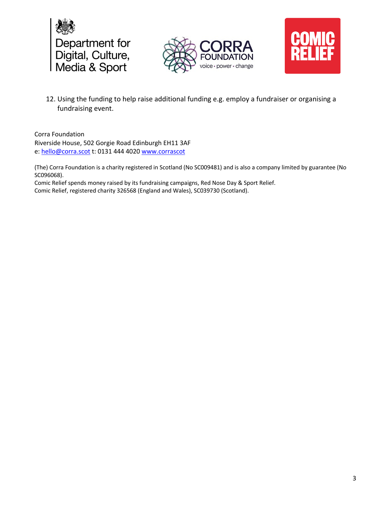





12. Using the funding to help raise additional funding e.g. employ a fundraiser or organising a fundraising event.

Corra Foundation Riverside House, 502 Gorgie Road Edinburgh EH11 3AF e: hello@corra.scot t: 0131 444 4020 www.corrascot

(The) Corra Foundation is a charity registered in Scotland (No SC009481) and is also a company limited by guarantee (No SC096068).

Comic Relief spends money raised by its fundraising campaigns, Red Nose Day & Sport Relief. Comic Relief, registered charity 326568 (England and Wales), SC039730 (Scotland).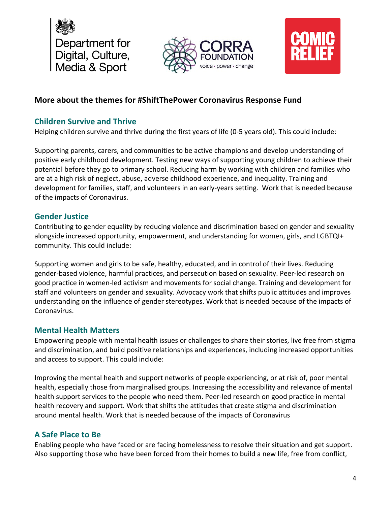





## **More about the themes for #ShiftThePower Coronavirus Response Fund**

#### **Children Survive and Thrive**

Helping children survive and thrive during the first years of life (0-5 years old). This could include:

Supporting parents, carers, and communities to be active champions and develop understanding of positive early childhood development. Testing new ways of supporting young children to achieve their potential before they go to primary school. Reducing harm by working with children and families who are at a high risk of neglect, abuse, adverse childhood experience, and inequality. Training and development for families, staff, and volunteers in an early-years setting. Work that is needed because of the impacts of Coronavirus.

#### **Gender Justice**

Contributing to gender equality by reducing violence and discrimination based on gender and sexuality alongside increased opportunity, empowerment, and understanding for women, girls, and LGBTQI+ community. This could include:

Supporting women and girls to be safe, healthy, educated, and in control of their lives. Reducing gender-based violence, harmful practices, and persecution based on sexuality. Peer-led research on good practice in women-led activism and movements for social change. Training and development for staff and volunteers on gender and sexuality. Advocacy work that shifts public attitudes and improves understanding on the influence of gender stereotypes. Work that is needed because of the impacts of Coronavirus.

#### **Mental Health Matters**

Empowering people with mental health issues or challenges to share their stories, live free from stigma and discrimination, and build positive relationships and experiences, including increased opportunities and access to support. This could include:

Improving the mental health and support networks of people experiencing, or at risk of, poor mental health, especially those from marginalised groups. Increasing the accessibility and relevance of mental health support services to the people who need them. Peer-led research on good practice in mental health recovery and support. Work that shifts the attitudes that create stigma and discrimination around mental health. Work that is needed because of the impacts of Coronavirus

## **A Safe Place to Be**

Enabling people who have faced or are facing homelessness to resolve their situation and get support. Also supporting those who have been forced from their homes to build a new life, free from conflict,